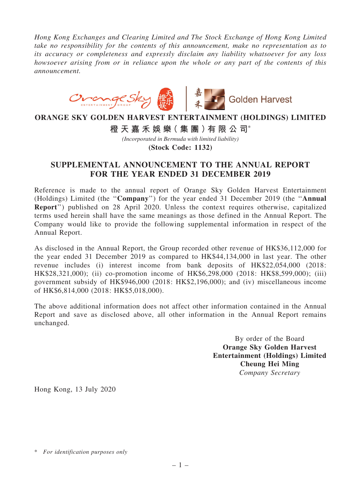Hong Kong Exchanges and Clearing Limited and The Stock Exchange of Hong Kong Limited take no responsibility for the contents of this announcement, make no representation as to its accuracy or completeness and expressly disclaim any liability whatsoever for any loss howsoever arising from or in reliance upon the whole or any part of the contents of this announcement.



## **ORANGE SKY GOLDEN HARVEST ENTERTAINMENT (HOLDINGS) LIMITED**

**橙 天 嘉 禾 娛 樂( 集 團 )有 限 公 司**\*

*(Incorporated in Bermuda with limited liability)*

**(Stock Code: 1132)**

## SUPPLEMENTAL ANNOUNCEMENT TO THE ANNUAL REPORT FOR THE YEAR ENDED 31 DECEMBER 2019

Reference is made to the annual report of Orange Sky Golden Harvest Entertainment (Holdings) Limited (the ''Company'') for the year ended 31 December 2019 (the ''Annual Report'') published on 28 April 2020. Unless the context requires otherwise, capitalized terms used herein shall have the same meanings as those defined in the Annual Report. The Company would like to provide the following supplemental information in respect of the Annual Report.

As disclosed in the Annual Report, the Group recorded other revenue of HK\$36,112,000 for the year ended 31 December 2019 as compared to HK\$44,134,000 in last year. The other revenue includes (i) interest income from bank deposits of HK\$22,054,000 (2018: HK\$28,321,000); (ii) co-promotion income of HK\$6,298,000 (2018: HK\$8,599,000); (iii) government subsidy of HK\$946,000 (2018: HK\$2,196,000); and (iv) miscellaneous income of HK\$6,814,000 (2018: HK\$5,018,000).

The above additional information does not affect other information contained in the Annual Report and save as disclosed above, all other information in the Annual Report remains unchanged.

> By order of the Board Orange Sky Golden Harvest Entertainment (Holdings) Limited Cheung Hei Ming Company Secretary

Hong Kong, 13 July 2020

<sup>\*</sup> For identification purposes only